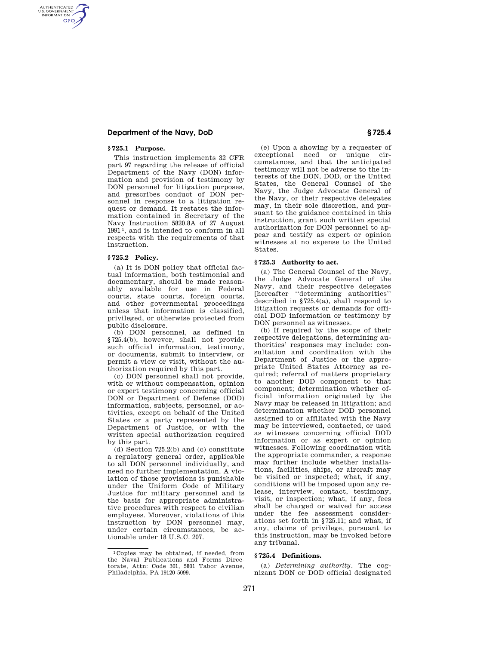### **Department of the Navy, DoD § 725.4**

## **§ 725.1 Purpose.**

AUTHENTICATED<br>U.S. GOVERNMENT<br>INFORMATION **GPO** 

> This instruction implements 32 CFR part 97 regarding the release of official Department of the Navy (DON) information and provision of testimony by DON personnel for litigation purposes, and prescribes conduct of DON personnel in response to a litigation request or demand. It restates the information contained in Secretary of the Navy Instruction 5820.8A of 27 August 1991 1, and is intended to conform in all respects with the requirements of that instruction.

#### **§ 725.2 Policy.**

(a) It is DON policy that official factual information, both testimonial and documentary, should be made reasonably available for use in Federal courts, state courts, foreign courts, and other governmental proceedings unless that information is classified, privileged, or otherwise protected from public disclosure.

(b) DON personnel, as defined in §725.4(b), however, shall not provide such official information, testimony, or documents, submit to interview, or permit a view or visit, without the authorization required by this part.

(c) DON personnel shall not provide, with or without compensation, opinion or expert testimony concerning official DON or Department of Defense (DOD) information, subjects, personnel, or activities, except on behalf of the United States or a party represented by the Department of Justice, or with the written special authorization required by this part.

(d) Section 725.2(b) and (c) constitute a regulatory general order, applicable to all DON personnel individually, and need no further implementation. A violation of those provisions is punishable under the Uniform Code of Military Justice for military personnel and is the basis for appropriate administrative procedures with respect to civilian employees. Moreover, violations of this instruction by DON personnel may, under certain circumstances, be actionable under 18 U.S.C. 207.

(e) Upon a showing by a requester of exceptional need or unique circumstances, and that the anticipated testimony will not be adverse to the interests of the DON, DOD, or the United States, the General Counsel of the Navy, the Judge Advocate General of the Navy, or their respective delegates may, in their sole discretion, and pursuant to the guidance contained in this instruction, grant such written special authorization for DON personnel to appear and testify as expert or opinion witnesses at no expense to the United States.

#### **§ 725.3 Authority to act.**

(a) The General Counsel of the Navy, the Judge Advocate General of the Navy, and their respective delegates [hereafter ''determining authorities'' described in §725.4(a), shall respond to litigation requests or demands for official DOD information or testimony by DON personnel as witnesses.

(b) If required by the scope of their respective delegations, determining authorities' responses may include: consultation and coordination with the Department of Justice or the appropriate United States Attorney as required; referral of matters proprietary to another DOD component to that component; determination whether official information originated by the Navy may be released in litigation; and determination whether DOD personnel assigned to or affiliated with the Navy may be interviewed, contacted, or used as witnesses concerning official DOD information or as expert or opinion witnesses. Following coordination with the appropriate commander, a response may further include whether installations, facilities, ships, or aircraft may be visited or inspected; what, if any, conditions will be imposed upon any release, interview, contact, testimony, visit, or inspection; what, if any, fees shall be charged or waived for access under the fee assessment considerations set forth in §725.11; and what, if any, claims of privilege, pursuant to this instruction, may be invoked before any tribunal.

#### **§ 725.4 Definitions.**

(a) *Determining authority.* The cognizant DON or DOD official designated

<sup>1</sup> Copies may be obtained, if needed, from the Naval Publications and Forms Directorate, Attn: Code 301, 5801 Tabor Avenue, Philadelphia, PA 19120-5099.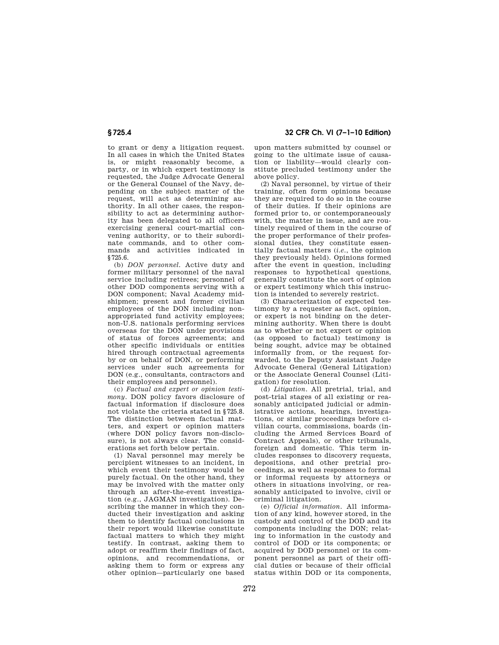# **§ 725.4 32 CFR Ch. VI (7–1–10 Edition)**

to grant or deny a litigation request. In all cases in which the United States is, or might reasonably become, a party, or in which expert testimony is requested, the Judge Advocate General or the General Counsel of the Navy, depending on the subject matter of the request, will act as determining authority. In all other cases, the responsibility to act as determining authority has been delegated to all officers exercising general court-martial convening authority, or to their subordinate commands, and to other commands and activities indicated in §725.6.

(b) *DON personnel.* Active duty and former military personnel of the naval service including retirees; personnel of other DOD components serving with a DON component; Naval Academy midshipmen; present and former civilian employees of the DON including nonappropriated fund activity employees; non-U.S. nationals performing services overseas for the DON under provisions of status of forces agreements; and other specific individuals or entities hired through contractual agreements by or on behalf of DON, or performing services under such agreements for DON (e.g., consultants, contractors and their employees and personnel).

(c) *Factual and expert or opinion testimony.* DON policy favors disclosure of factual information if disclosure does not violate the criteria stated in §725.8. The distinction between factual matters, and expert or opinion matters (where DON policy favors non-disclosure), is not always clear. The considerations set forth below pertain.

(1) Naval personnel may merely be percipient witnesses to an incident, in which event their testimony would be purely factual. On the other hand, they may be involved with the matter only through an after-the-event investigation (e.g., JAGMAN investigation). Describing the manner in which they conducted their investigation and asking them to identify factual conclusions in their report would likewise constitute factual matters to which they might testify. In contrast, asking them to adopt or reaffirm their findings of fact, opinions, and recommendations, or asking them to form or express any other opinion—particularly one based

upon matters submitted by counsel or going to the ultimate issue of causation or liability—would clearly constitute precluded testimony under the above policy.

(2) Naval personnel, by virtue of their training, often form opinions because they are required to do so in the course of their duties. If their opinions are formed prior to, or contemporaneously with, the matter in issue, and are routinely required of them in the course of the proper performance of their professional duties, they constitute essentially factual matters (*i.e.*, the opinion they previously held). Opinions formed after the event in question, including responses to hypothetical questions, generally constitute the sort of opinion or expert testimony which this instruction is intended to severely restrict.

(3) Characterization of expected testimony by a requester as fact, opinion, or expert is not binding on the determining authority. When there is doubt as to whether or not expert or opinion (as opposed to factual) testimony is being sought, advice may be obtained informally from, or the request forwarded, to the Deputy Assistant Judge Advocate General (General Litigation) or the Associate General Counsel (Litigation) for resolution.

(d) *Litigation.* All pretrial, trial, and post-trial stages of all existing or reasonably anticipated judicial or administrative actions, hearings, investigations, or similar proceedings before civilian courts, commissions, boards (including the Armed Services Board of Contract Appeals), or other tribunals, foreign and domestic. This term includes responses to discovery requests, depositions, and other pretrial proceedings, as well as responses to formal or informal requests by attorneys or others in situations involving, or reasonably anticipated to involve, civil or criminal litigation.

(e) *Official information.* All information of any kind, however stored, in the custody and control of the DOD and its components including the DON; relating to information in the custody and control of DOD or its components; or acquired by DOD personnel or its component personnel as part of their official duties or because of their official status within DOD or its components,